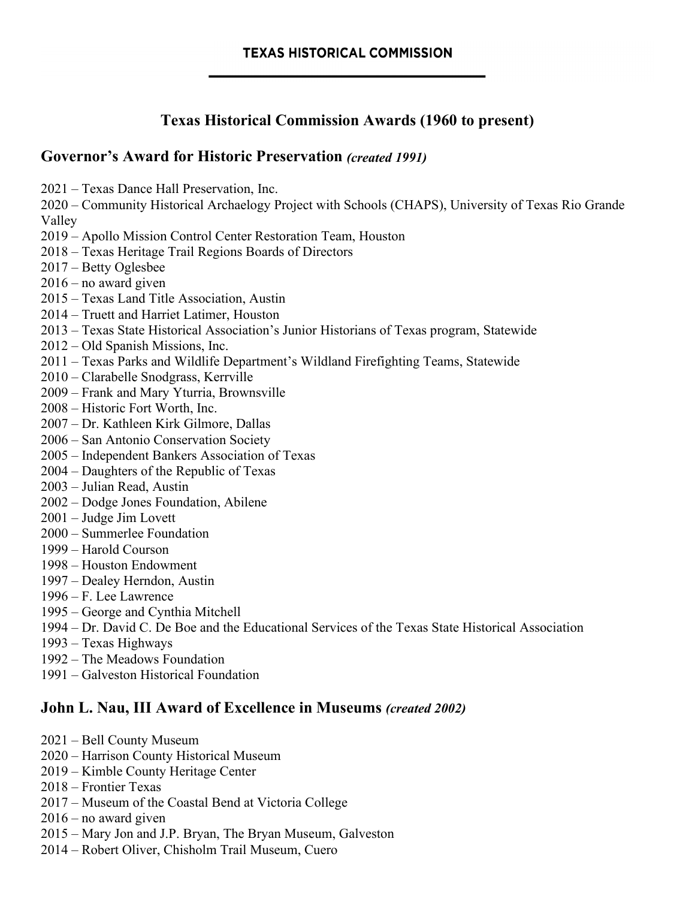# **Texas Historical Commission Awards (1960 to present)**

#### **Governor's Award for Historic Preservation** *(created 1991)*

2021 – Texas Dance Hall Preservation, Inc.

2020 – Community Historical Archaelogy Project with Schools (CHAPS), University of Texas Rio Grande Valley

2019 – Apollo Mission Control Center Restoration Team, Houston

2018 – Texas Heritage Trail Regions Boards of Directors

- 2017 Betty Oglesbee
- 2016 no award given
- 2015 Texas Land Title Association, Austin
- 2014 Truett and Harriet Latimer, Houston
- 2013 Texas State Historical Association's Junior Historians of Texas program, Statewide
- 2012 Old Spanish Missions, Inc.
- 2011 Texas Parks and Wildlife Department's Wildland Firefighting Teams, Statewide
- 2010 Clarabelle Snodgrass, Kerrville
- 2009 Frank and Mary Yturria, Brownsville
- 2008 Historic Fort Worth, Inc.
- 2007 Dr. Kathleen Kirk Gilmore, Dallas
- 2006 San Antonio Conservation Society
- 2005 Independent Bankers Association of Texas
- 2004 Daughters of the Republic of Texas
- 2003 Julian Read, Austin
- 2002 Dodge Jones Foundation, Abilene
- 2001 Judge Jim Lovett
- 2000 Summerlee Foundation
- 1999 Harold Courson
- 1998 Houston Endowment
- 1997 Dealey Herndon, Austin
- 1996 F. Lee Lawrence
- 1995 George and Cynthia Mitchell
- 1994 Dr. David C. De Boe and the Educational Services of the Texas State Historical Association
- 1993 Texas Highways
- 1992 The Meadows Foundation
- 1991 Galveston Historical Foundation

### **John L. Nau, III Award of Excellence in Museums** *(created 2002)*

- 2021 Bell County Museum
- 2020 Harrison County Historical Museum
- 2019 Kimble County Heritage Center
- 2018 Frontier Texas
- 2017 Museum of the Coastal Bend at Victoria College
- 2016 no award given
- 2015 Mary Jon and J.P. Bryan, The Bryan Museum, Galveston
- 2014 Robert Oliver, Chisholm Trail Museum, Cuero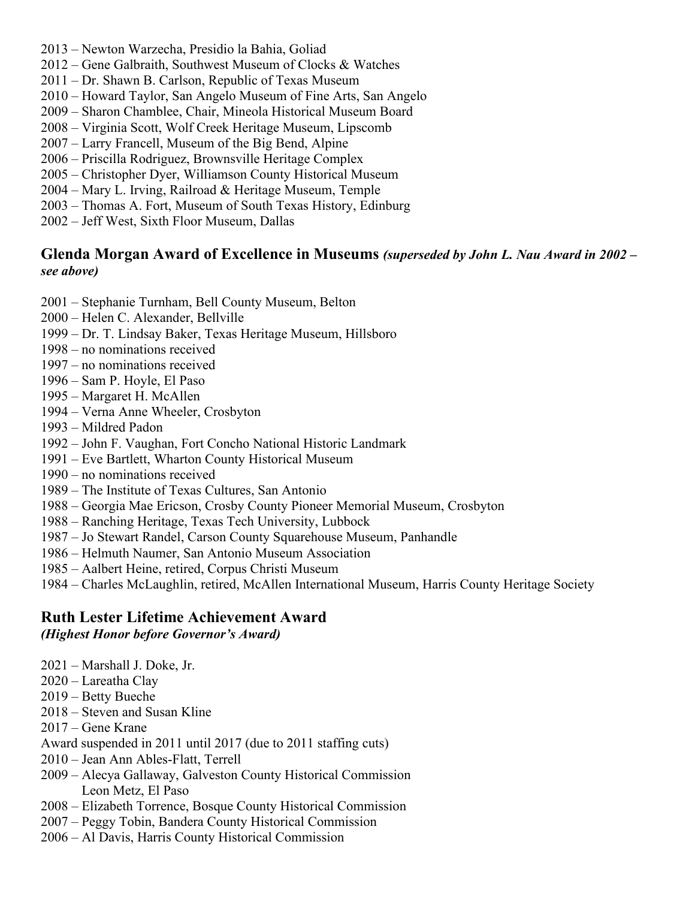- 2013 Newton Warzecha, Presidio la Bahia, Goliad
- 2012 Gene Galbraith, Southwest Museum of Clocks & Watches
- 2011 Dr. Shawn B. Carlson, Republic of Texas Museum
- 2010 Howard Taylor, San Angelo Museum of Fine Arts, San Angelo
- 2009 Sharon Chamblee, Chair, Mineola Historical Museum Board
- 2008 Virginia Scott, Wolf Creek Heritage Museum, Lipscomb
- 2007 Larry Francell, Museum of the Big Bend, Alpine
- 2006 Priscilla Rodriguez, Brownsville Heritage Complex
- 2005 Christopher Dyer, Williamson County Historical Museum
- 2004 Mary L. Irving, Railroad & Heritage Museum, Temple
- 2003 Thomas A. Fort, Museum of South Texas History, Edinburg
- 2002 Jeff West, Sixth Floor Museum, Dallas

#### **Glenda Morgan Award of Excellence in Museums** *(superseded by John L. Nau Award in 2002 – see above)*

- 2001 Stephanie Turnham, Bell County Museum, Belton
- 2000 Helen C. Alexander, Bellville
- 1999 Dr. T. Lindsay Baker, Texas Heritage Museum, Hillsboro
- 1998 no nominations received
- 1997 no nominations received
- 1996 Sam P. Hoyle, El Paso
- 1995 Margaret H. McAllen
- 1994 Verna Anne Wheeler, Crosbyton
- 1993 Mildred Padon
- 1992 John F. Vaughan, Fort Concho National Historic Landmark
- 1991 Eve Bartlett, Wharton County Historical Museum
- 1990 no nominations received
- 1989 The Institute of Texas Cultures, San Antonio
- 1988 Georgia Mae Ericson, Crosby County Pioneer Memorial Museum, Crosbyton
- 1988 Ranching Heritage, Texas Tech University, Lubbock
- 1987 Jo Stewart Randel, Carson County Squarehouse Museum, Panhandle
- 1986 Helmuth Naumer, San Antonio Museum Association
- 1985 Aalbert Heine, retired, Corpus Christi Museum
- 1984 Charles McLaughlin, retired, McAllen International Museum, Harris County Heritage Society

# **Ruth Lester Lifetime Achievement Award**

#### *(Highest Honor before Governor's Award)*

- 2021 Marshall J. Doke, Jr.
- 2020 Lareatha Clay
- 2019 Betty Bueche
- 2018 Steven and Susan Kline
- 2017 Gene Krane
- Award suspended in 2011 until 2017 (due to 2011 staffing cuts)
- 2010 Jean Ann Ables-Flatt, Terrell
- 2009 Alecya Gallaway, Galveston County Historical Commission Leon Metz, El Paso
- 2008 Elizabeth Torrence, Bosque County Historical Commission
- 2007 Peggy Tobin, Bandera County Historical Commission
- 2006 Al Davis, Harris County Historical Commission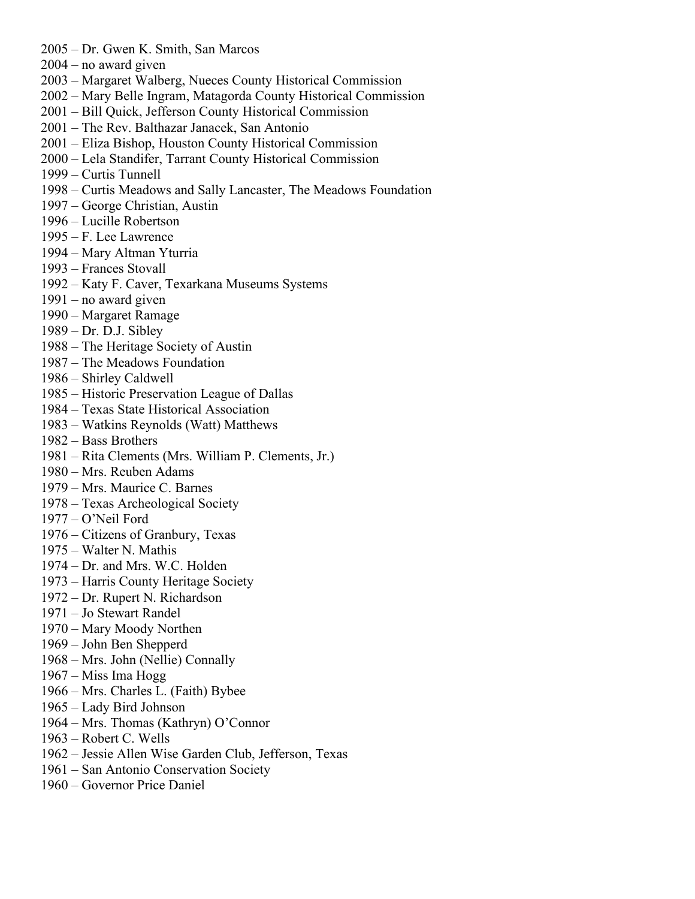- 2005 Dr. Gwen K. Smith, San Marcos
- 2004 no award given
- 2003 Margaret Walberg, Nueces County Historical Commission
- 2002 Mary Belle Ingram, Matagorda County Historical Commission
- 2001 Bill Quick, Jefferson County Historical Commission
- 2001 The Rev. Balthazar Janacek, San Antonio
- 2001 Eliza Bishop, Houston County Historical Commission
- 2000 Lela Standifer, Tarrant County Historical Commission
- 1999 Curtis Tunnell
- 1998 Curtis Meadows and Sally Lancaster, The Meadows Foundation
- 1997 George Christian, Austin
- 1996 Lucille Robertson
- 1995 F. Lee Lawrence
- 1994 Mary Altman Yturria
- 1993 Frances Stovall
- 1992 Katy F. Caver, Texarkana Museums Systems
- 1991 no award given
- 1990 Margaret Ramage
- 1989 Dr. D.J. Sibley
- 1988 The Heritage Society of Austin
- 1987 The Meadows Foundation
- 1986 Shirley Caldwell
- 1985 Historic Preservation League of Dallas
- 1984 Texas State Historical Association
- 1983 Watkins Reynolds (Watt) Matthews
- 1982 Bass Brothers
- 1981 Rita Clements (Mrs. William P. Clements, Jr.)
- 1980 Mrs. Reuben Adams
- 1979 Mrs. Maurice C. Barnes
- 1978 Texas Archeological Society
- 1977 O'Neil Ford
- 1976 Citizens of Granbury, Texas
- 1975 Walter N. Mathis
- 1974 Dr. and Mrs. W.C. Holden
- 1973 Harris County Heritage Society
- 1972 Dr. Rupert N. Richardson
- 1971 Jo Stewart Randel
- 1970 Mary Moody Northen
- 1969 John Ben Shepperd
- 1968 Mrs. John (Nellie) Connally
- 1967 Miss Ima Hogg
- 1966 Mrs. Charles L. (Faith) Bybee
- 1965 Lady Bird Johnson
- 1964 Mrs. Thomas (Kathryn) O'Connor
- 1963 Robert C. Wells
- 1962 Jessie Allen Wise Garden Club, Jefferson, Texas
- 1961 San Antonio Conservation Society
- 1960 Governor Price Daniel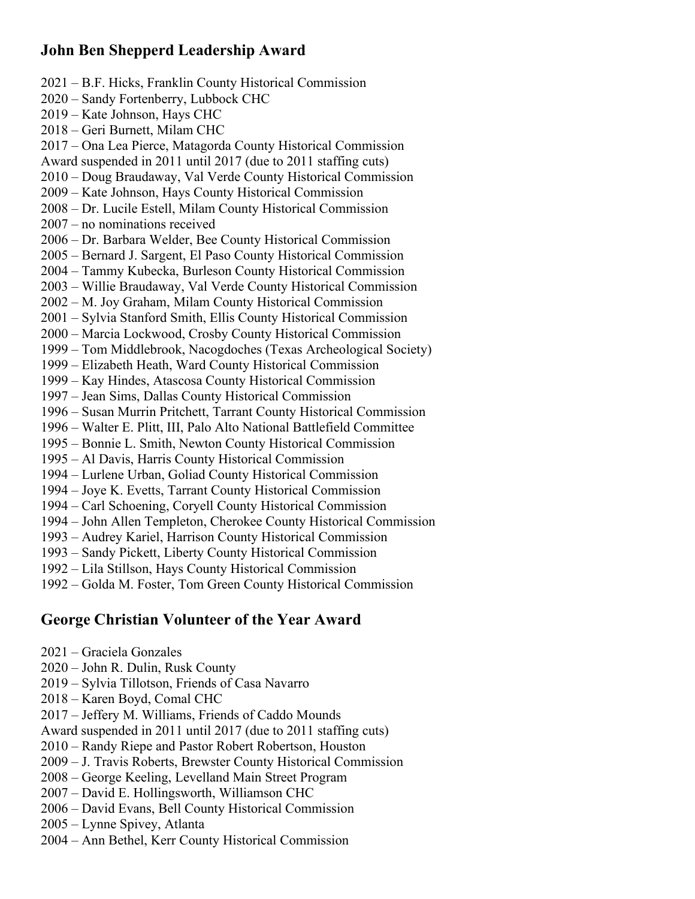## **John Ben Shepperd Leadership Award**

2021 – B.F. Hicks, Franklin County Historical Commission 2020 – Sandy Fortenberry, Lubbock CHC 2019 – Kate Johnson, Hays CHC 2018 – Geri Burnett, Milam CHC 2017 – Ona Lea Pierce, Matagorda County Historical Commission Award suspended in 2011 until 2017 (due to 2011 staffing cuts) 2010 – Doug Braudaway, Val Verde County Historical Commission 2009 – Kate Johnson, Hays County Historical Commission 2008 – Dr. Lucile Estell, Milam County Historical Commission 2007 – no nominations received 2006 – Dr. Barbara Welder, Bee County Historical Commission 2005 – Bernard J. Sargent, El Paso County Historical Commission 2004 – Tammy Kubecka, Burleson County Historical Commission 2003 – Willie Braudaway, Val Verde County Historical Commission 2002 – M. Joy Graham, Milam County Historical Commission 2001 – Sylvia Stanford Smith, Ellis County Historical Commission 2000 – Marcia Lockwood, Crosby County Historical Commission 1999 – Tom Middlebrook, Nacogdoches (Texas Archeological Society) 1999 – Elizabeth Heath, Ward County Historical Commission 1999 – Kay Hindes, Atascosa County Historical Commission 1997 – Jean Sims, Dallas County Historical Commission 1996 – Susan Murrin Pritchett, Tarrant County Historical Commission 1996 – Walter E. Plitt, III, Palo Alto National Battlefield Committee 1995 – Bonnie L. Smith, Newton County Historical Commission 1995 – Al Davis, Harris County Historical Commission 1994 – Lurlene Urban, Goliad County Historical Commission 1994 – Joye K. Evetts, Tarrant County Historical Commission 1994 – Carl Schoening, Coryell County Historical Commission 1994 – John Allen Templeton, Cherokee County Historical Commission 1993 – Audrey Kariel, Harrison County Historical Commission 1993 – Sandy Pickett, Liberty County Historical Commission 1992 – Lila Stillson, Hays County Historical Commission 1992 – Golda M. Foster, Tom Green County Historical Commission

### **George Christian Volunteer of the Year Award**

- 2021 Graciela Gonzales
- 2020 John R. Dulin, Rusk County
- 2019 Sylvia Tillotson, Friends of Casa Navarro
- 2018 Karen Boyd, Comal CHC
- 2017 Jeffery M. Williams, Friends of Caddo Mounds
- Award suspended in 2011 until 2017 (due to 2011 staffing cuts)
- 2010 Randy Riepe and Pastor Robert Robertson, Houston
- 2009 J. Travis Roberts, Brewster County Historical Commission
- 2008 George Keeling, Levelland Main Street Program
- 2007 David E. Hollingsworth, Williamson CHC
- 2006 David Evans, Bell County Historical Commission
- 2005 Lynne Spivey, Atlanta
- 2004 Ann Bethel, Kerr County Historical Commission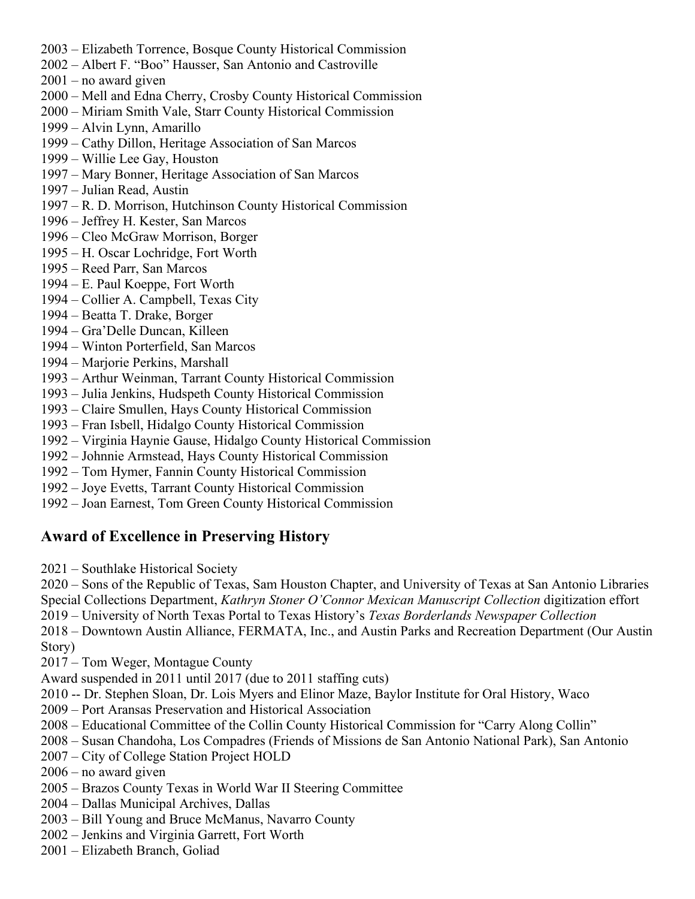- 2003 Elizabeth Torrence, Bosque County Historical Commission
- 2002 Albert F. "Boo" Hausser, San Antonio and Castroville
- 2001 no award given
- 2000 Mell and Edna Cherry, Crosby County Historical Commission
- 2000 Miriam Smith Vale, Starr County Historical Commission
- 1999 Alvin Lynn, Amarillo
- 1999 Cathy Dillon, Heritage Association of San Marcos
- 1999 Willie Lee Gay, Houston
- 1997 Mary Bonner, Heritage Association of San Marcos
- 1997 Julian Read, Austin
- 1997 R. D. Morrison, Hutchinson County Historical Commission
- 1996 Jeffrey H. Kester, San Marcos
- 1996 Cleo McGraw Morrison, Borger
- 1995 H. Oscar Lochridge, Fort Worth
- 1995 Reed Parr, San Marcos
- 1994 E. Paul Koeppe, Fort Worth
- 1994 Collier A. Campbell, Texas City
- 1994 Beatta T. Drake, Borger
- 1994 Gra'Delle Duncan, Killeen
- 1994 Winton Porterfield, San Marcos
- 1994 Marjorie Perkins, Marshall
- 1993 Arthur Weinman, Tarrant County Historical Commission
- 1993 Julia Jenkins, Hudspeth County Historical Commission
- 1993 Claire Smullen, Hays County Historical Commission
- 1993 Fran Isbell, Hidalgo County Historical Commission
- 1992 Virginia Haynie Gause, Hidalgo County Historical Commission
- 1992 Johnnie Armstead, Hays County Historical Commission
- 1992 Tom Hymer, Fannin County Historical Commission
- 1992 Joye Evetts, Tarrant County Historical Commission
- 1992 Joan Earnest, Tom Green County Historical Commission

# **Award of Excellence in Preserving History**

2021 – Southlake Historical Society

2020 – Sons of the Republic of Texas, Sam Houston Chapter, and University of Texas at San Antonio Libraries Special Collections Department, *Kathryn Stoner O'Connor Mexican Manuscript Collection* digitization effort

- 
- 2019 University of North Texas Portal to Texas History's *Texas Borderlands Newspaper Collection*

2018 – Downtown Austin Alliance, FERMATA, Inc., and Austin Parks and Recreation Department (Our Austin Story)

2017 – Tom Weger, Montague County

Award suspended in 2011 until 2017 (due to 2011 staffing cuts)

- 2010 -- Dr. Stephen Sloan, Dr. Lois Myers and Elinor Maze, Baylor Institute for Oral History, Waco
- 2009 Port Aransas Preservation and Historical Association
- 2008 Educational Committee of the Collin County Historical Commission for "Carry Along Collin"
- 2008 Susan Chandoha, Los Compadres (Friends of Missions de San Antonio National Park), San Antonio
- 2007 City of College Station Project HOLD
- 2006 no award given
- 2005 Brazos County Texas in World War II Steering Committee
- 2004 Dallas Municipal Archives, Dallas
- 2003 Bill Young and Bruce McManus, Navarro County
- 2002 Jenkins and Virginia Garrett, Fort Worth
- 2001 Elizabeth Branch, Goliad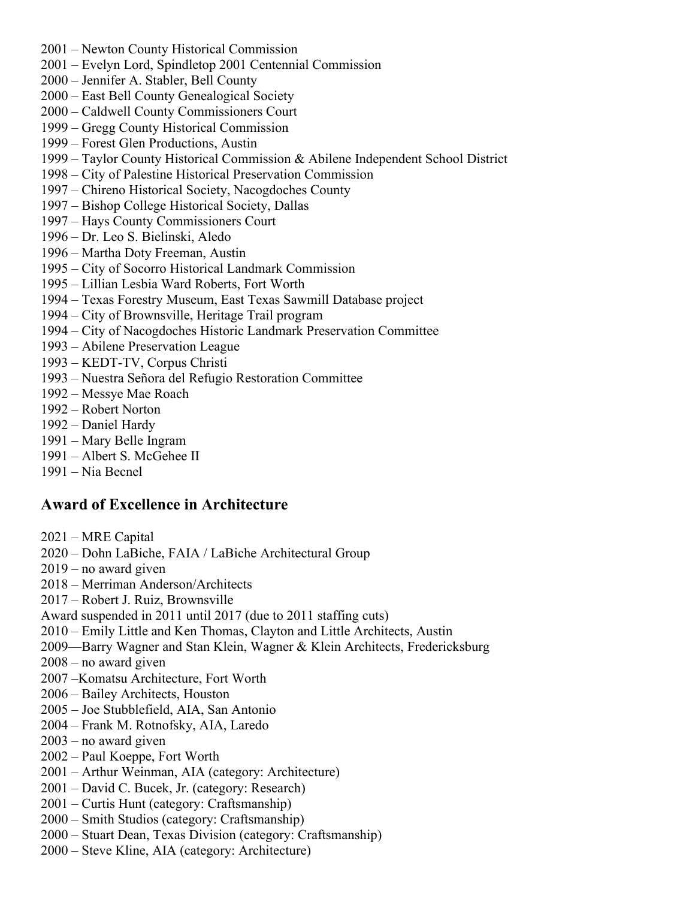- 2001 Newton County Historical Commission
- 2001 Evelyn Lord, Spindletop 2001 Centennial Commission
- 2000 Jennifer A. Stabler, Bell County
- 2000 East Bell County Genealogical Society
- 2000 Caldwell County Commissioners Court
- 1999 Gregg County Historical Commission
- 1999 Forest Glen Productions, Austin
- 1999 Taylor County Historical Commission & Abilene Independent School District
- 1998 City of Palestine Historical Preservation Commission
- 1997 Chireno Historical Society, Nacogdoches County
- 1997 Bishop College Historical Society, Dallas
- 1997 Hays County Commissioners Court
- 1996 Dr. Leo S. Bielinski, Aledo
- 1996 Martha Doty Freeman, Austin
- 1995 City of Socorro Historical Landmark Commission
- 1995 Lillian Lesbia Ward Roberts, Fort Worth
- 1994 Texas Forestry Museum, East Texas Sawmill Database project
- 1994 City of Brownsville, Heritage Trail program
- 1994 City of Nacogdoches Historic Landmark Preservation Committee
- 1993 Abilene Preservation League
- 1993 KEDT-TV, Corpus Christi
- 1993 Nuestra Señora del Refugio Restoration Committee
- 1992 Messye Mae Roach
- 1992 Robert Norton
- 1992 Daniel Hardy
- 1991 Mary Belle Ingram
- 1991 Albert S. McGehee II
- 1991 Nia Becnel

### **Award of Excellence in Architecture**

- 2021 MRE Capital
- 2020 Dohn LaBiche, FAIA / LaBiche Architectural Group
- 2019 no award given
- 2018 Merriman Anderson/Architects
- 2017 Robert J. Ruiz, Brownsville
- Award suspended in 2011 until 2017 (due to 2011 staffing cuts)
- 2010 Emily Little and Ken Thomas, Clayton and Little Architects, Austin
- 2009—Barry Wagner and Stan Klein, Wagner & Klein Architects, Fredericksburg
- 2008 no award given
- 2007 –Komatsu Architecture, Fort Worth
- 2006 Bailey Architects, Houston
- 2005 Joe Stubblefield, AIA, San Antonio
- 2004 Frank M. Rotnofsky, AIA, Laredo
- 2003 no award given
- 2002 Paul Koeppe, Fort Worth
- 2001 Arthur Weinman, AIA (category: Architecture)
- 2001 David C. Bucek, Jr. (category: Research)
- 2001 Curtis Hunt (category: Craftsmanship)
- 2000 Smith Studios (category: Craftsmanship)
- 2000 Stuart Dean, Texas Division (category: Craftsmanship)
- 2000 Steve Kline, AIA (category: Architecture)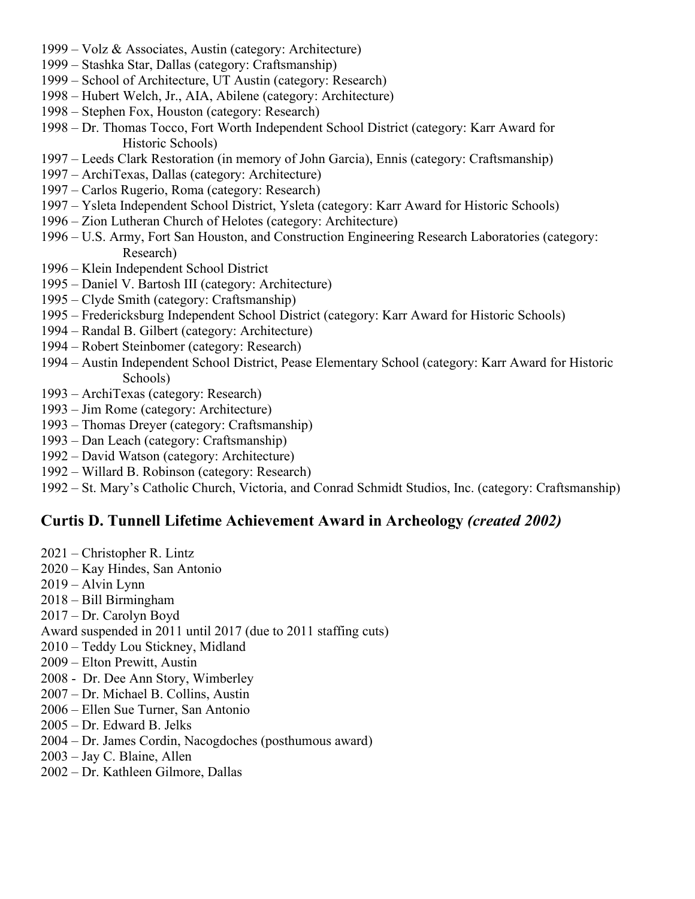- 1999 Volz & Associates, Austin (category: Architecture)
- 1999 Stashka Star, Dallas (category: Craftsmanship)
- 1999 School of Architecture, UT Austin (category: Research)
- 1998 Hubert Welch, Jr., AIA, Abilene (category: Architecture)
- 1998 Stephen Fox, Houston (category: Research)
- 1998 Dr. Thomas Tocco, Fort Worth Independent School District (category: Karr Award for Historic Schools)
- 1997 Leeds Clark Restoration (in memory of John Garcia), Ennis (category: Craftsmanship)
- 1997 ArchiTexas, Dallas (category: Architecture)
- 1997 Carlos Rugerio, Roma (category: Research)
- 1997 Ysleta Independent School District, Ysleta (category: Karr Award for Historic Schools)
- 1996 Zion Lutheran Church of Helotes (category: Architecture)
- 1996 U.S. Army, Fort San Houston, and Construction Engineering Research Laboratories (category: Research)
- 1996 Klein Independent School District
- 1995 Daniel V. Bartosh III (category: Architecture)
- 1995 Clyde Smith (category: Craftsmanship)
- 1995 Fredericksburg Independent School District (category: Karr Award for Historic Schools)
- 1994 Randal B. Gilbert (category: Architecture)
- 1994 Robert Steinbomer (category: Research)
- 1994 Austin Independent School District, Pease Elementary School (category: Karr Award for Historic Schools)
- 1993 ArchiTexas (category: Research)
- 1993 Jim Rome (category: Architecture)
- 1993 Thomas Dreyer (category: Craftsmanship)
- 1993 Dan Leach (category: Craftsmanship)
- 1992 David Watson (category: Architecture)
- 1992 Willard B. Robinson (category: Research)
- 1992 St. Mary's Catholic Church, Victoria, and Conrad Schmidt Studios, Inc. (category: Craftsmanship)

#### **Curtis D. Tunnell Lifetime Achievement Award in Archeology** *(created 2002)*

- 2021 Christopher R. Lintz
- 2020 Kay Hindes, San Antonio
- 2019 Alvin Lynn
- 2018 Bill Birmingham
- 2017 Dr. Carolyn Boyd
- Award suspended in 2011 until 2017 (due to 2011 staffing cuts)
- 2010 Teddy Lou Stickney, Midland
- 2009 Elton Prewitt, Austin
- 2008 Dr. Dee Ann Story, Wimberley
- 2007 Dr. Michael B. Collins, Austin
- 2006 Ellen Sue Turner, San Antonio
- 2005 Dr. Edward B. Jelks
- 2004 Dr. James Cordin, Nacogdoches (posthumous award)
- 2003 Jay C. Blaine, Allen
- 2002 Dr. Kathleen Gilmore, Dallas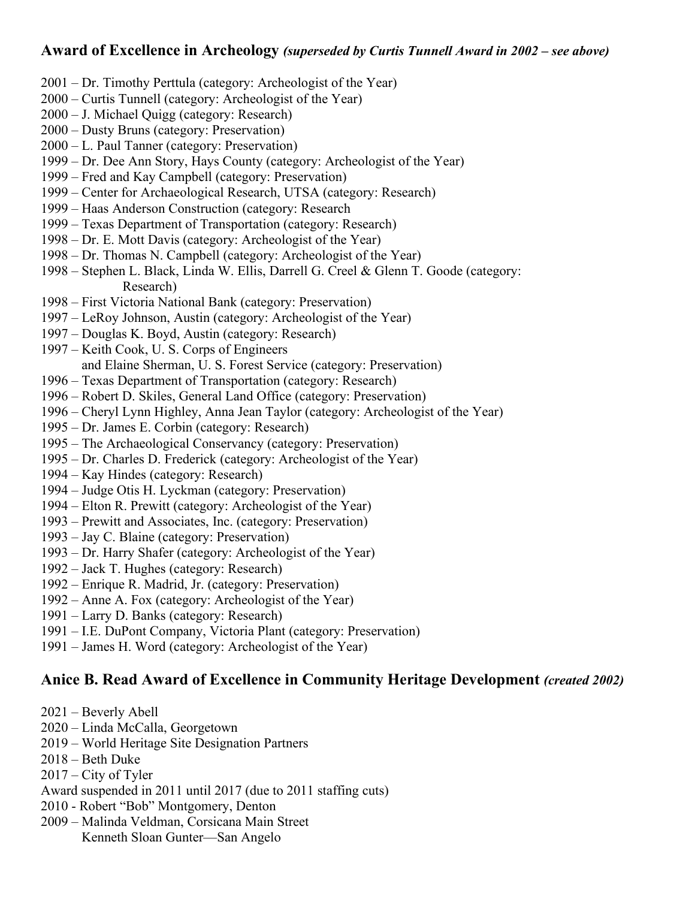#### **Award of Excellence in Archeology** *(superseded by Curtis Tunnell Award in 2002 – see above)*

- 2001 Dr. Timothy Perttula (category: Archeologist of the Year)
- 2000 Curtis Tunnell (category: Archeologist of the Year)
- 2000 J. Michael Quigg (category: Research)
- 2000 Dusty Bruns (category: Preservation)
- 2000 L. Paul Tanner (category: Preservation)
- 1999 Dr. Dee Ann Story, Hays County (category: Archeologist of the Year)
- 1999 Fred and Kay Campbell (category: Preservation)
- 1999 Center for Archaeological Research, UTSA (category: Research)
- 1999 Haas Anderson Construction (category: Research
- 1999 Texas Department of Transportation (category: Research)
- 1998 Dr. E. Mott Davis (category: Archeologist of the Year)
- 1998 Dr. Thomas N. Campbell (category: Archeologist of the Year)
- 1998 Stephen L. Black, Linda W. Ellis, Darrell G. Creel & Glenn T. Goode (category: Research)
- 1998 First Victoria National Bank (category: Preservation)
- 1997 LeRoy Johnson, Austin (category: Archeologist of the Year)
- 1997 Douglas K. Boyd, Austin (category: Research)
- 1997 Keith Cook, U. S. Corps of Engineers and Elaine Sherman, U. S. Forest Service (category: Preservation)
- 1996 Texas Department of Transportation (category: Research)
- 1996 Robert D. Skiles, General Land Office (category: Preservation)
- 1996 Cheryl Lynn Highley, Anna Jean Taylor (category: Archeologist of the Year)
- 1995 Dr. James E. Corbin (category: Research)
- 1995 The Archaeological Conservancy (category: Preservation)
- 1995 Dr. Charles D. Frederick (category: Archeologist of the Year)
- 1994 Kay Hindes (category: Research)
- 1994 Judge Otis H. Lyckman (category: Preservation)
- 1994 Elton R. Prewitt (category: Archeologist of the Year)
- 1993 Prewitt and Associates, Inc. (category: Preservation)
- 1993 Jay C. Blaine (category: Preservation)
- 1993 Dr. Harry Shafer (category: Archeologist of the Year)
- 1992 Jack T. Hughes (category: Research)
- 1992 Enrique R. Madrid, Jr. (category: Preservation)
- 1992 Anne A. Fox (category: Archeologist of the Year)
- 1991 Larry D. Banks (category: Research)
- 1991 I.E. DuPont Company, Victoria Plant (category: Preservation)
- 1991 James H. Word (category: Archeologist of the Year)

# **Anice B. Read Award of Excellence in Community Heritage Development** *(created 2002)*

- 2021 Beverly Abell
- 2020 Linda McCalla, Georgetown
- 2019 World Heritage Site Designation Partners
- 2018 Beth Duke
- 2017 City of Tyler
- Award suspended in 2011 until 2017 (due to 2011 staffing cuts)
- 2010 Robert "Bob" Montgomery, Denton
- 2009 Malinda Veldman, Corsicana Main Street Kenneth Sloan Gunter—San Angelo